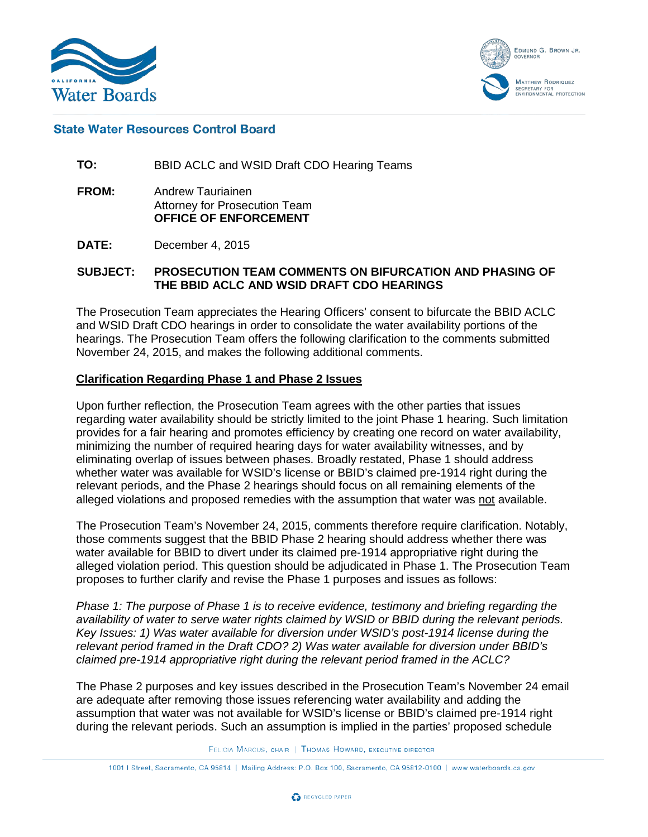



#### **State Water Resources Control Board**

**TO:** BBID ACLC and WSID Draft CDO Hearing Teams

- **FROM:** Andrew Tauriainen Attorney for Prosecution Team **OFFICE OF ENFORCEMENT**
- **DATE:** December 4, 2015

#### **SUBJECT: PROSECUTION TEAM COMMENTS ON BIFURCATION AND PHASING OF THE BBID ACLC AND WSID DRAFT CDO HEARINGS**

The Prosecution Team appreciates the Hearing Officers' consent to bifurcate the BBID ACLC and WSID Draft CDO hearings in order to consolidate the water availability portions of the hearings. The Prosecution Team offers the following clarification to the comments submitted November 24, 2015, and makes the following additional comments.

#### **Clarification Regarding Phase 1 and Phase 2 Issues**

Upon further reflection, the Prosecution Team agrees with the other parties that issues regarding water availability should be strictly limited to the joint Phase 1 hearing. Such limitation provides for a fair hearing and promotes efficiency by creating one record on water availability, minimizing the number of required hearing days for water availability witnesses, and by eliminating overlap of issues between phases. Broadly restated, Phase 1 should address whether water was available for WSID's license or BBID's claimed pre-1914 right during the relevant periods, and the Phase 2 hearings should focus on all remaining elements of the alleged violations and proposed remedies with the assumption that water was not available.

The Prosecution Team's November 24, 2015, comments therefore require clarification. Notably, those comments suggest that the BBID Phase 2 hearing should address whether there was water available for BBID to divert under its claimed pre-1914 appropriative right during the alleged violation period. This question should be adjudicated in Phase 1. The Prosecution Team proposes to further clarify and revise the Phase 1 purposes and issues as follows:

*Phase 1: The purpose of Phase 1 is to receive evidence, testimony and briefing regarding the availability of water to serve water rights claimed by WSID or BBID during the relevant periods. Key Issues: 1) Was water available for diversion under WSID's post-1914 license during the relevant period framed in the Draft CDO? 2) Was water available for diversion under BBID's claimed pre-1914 appropriative right during the relevant period framed in the ACLC?*

The Phase 2 purposes and key issues described in the Prosecution Team's November 24 email are adequate after removing those issues referencing water availability and adding the assumption that water was not available for WSID's license or BBID's claimed pre-1914 right during the relevant periods. Such an assumption is implied in the parties' proposed schedule

FELICIA MARCUS, CHAIR | THOMAS HOWARD, EXECUTIVE DIRECTOR

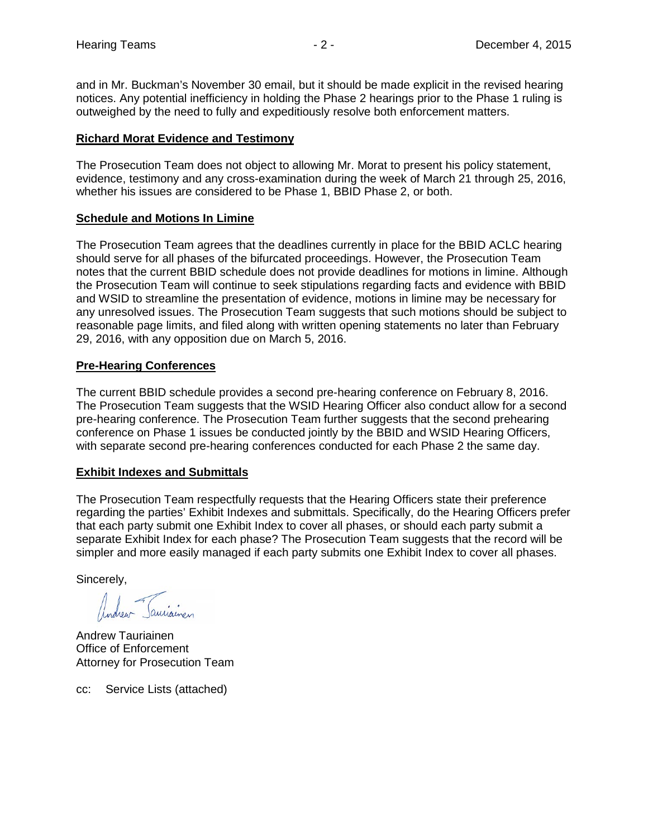and in Mr. Buckman's November 30 email, but it should be made explicit in the revised hearing notices. Any potential inefficiency in holding the Phase 2 hearings prior to the Phase 1 ruling is outweighed by the need to fully and expeditiously resolve both enforcement matters.

# **Richard Morat Evidence and Testimony**

The Prosecution Team does not object to allowing Mr. Morat to present his policy statement, evidence, testimony and any cross-examination during the week of March 21 through 25, 2016, whether his issues are considered to be Phase 1, BBID Phase 2, or both.

# **Schedule and Motions In Limine**

The Prosecution Team agrees that the deadlines currently in place for the BBID ACLC hearing should serve for all phases of the bifurcated proceedings. However, the Prosecution Team notes that the current BBID schedule does not provide deadlines for motions in limine. Although the Prosecution Team will continue to seek stipulations regarding facts and evidence with BBID and WSID to streamline the presentation of evidence, motions in limine may be necessary for any unresolved issues. The Prosecution Team suggests that such motions should be subject to reasonable page limits, and filed along with written opening statements no later than February 29, 2016, with any opposition due on March 5, 2016.

# **Pre-Hearing Conferences**

The current BBID schedule provides a second pre-hearing conference on February 8, 2016. The Prosecution Team suggests that the WSID Hearing Officer also conduct allow for a second pre-hearing conference. The Prosecution Team further suggests that the second prehearing conference on Phase 1 issues be conducted jointly by the BBID and WSID Hearing Officers, with separate second pre-hearing conferences conducted for each Phase 2 the same day.

# **Exhibit Indexes and Submittals**

The Prosecution Team respectfully requests that the Hearing Officers state their preference regarding the parties' Exhibit Indexes and submittals. Specifically, do the Hearing Officers prefer that each party submit one Exhibit Index to cover all phases, or should each party submit a separate Exhibit Index for each phase? The Prosecution Team suggests that the record will be simpler and more easily managed if each party submits one Exhibit Index to cover all phases.

Sincerely,

Andrew Tauriainen Office of Enforcement Attorney for Prosecution Team

cc: Service Lists (attached)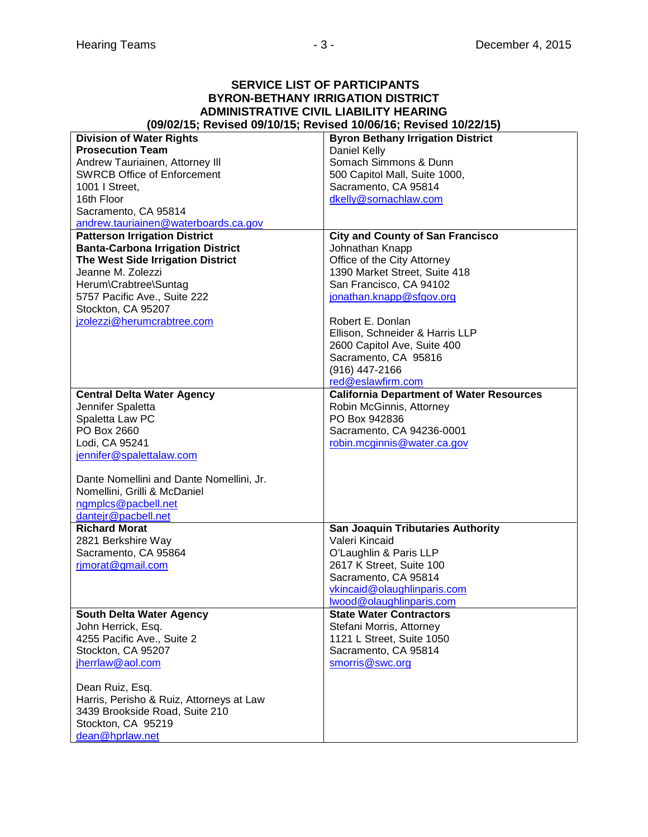#### **SERVICE LIST OF PARTICIPANTS BYRON-BETHANY IRRIGATION DISTRICT ADMINISTRATIVE CIVIL LIABILITY HEARING (09/02/15; Revised 09/10/15; Revised 10/06/16; Revised 10/22/15)**

| <b>Division of Water Rights</b>          | <b>Byron Bethany Irrigation District</b>        |
|------------------------------------------|-------------------------------------------------|
| <b>Prosecution Team</b>                  | Daniel Kelly                                    |
| Andrew Tauriainen, Attorney III          | Somach Simmons & Dunn                           |
| <b>SWRCB Office of Enforcement</b>       | 500 Capitol Mall, Suite 1000,                   |
| 1001   Street,                           | Sacramento, CA 95814                            |
| 16th Floor                               | dkelly@somachlaw.com                            |
| Sacramento, CA 95814                     |                                                 |
| andrew.tauriainen@waterboards.ca.gov     |                                                 |
|                                          |                                                 |
| <b>Patterson Irrigation District</b>     | <b>City and County of San Francisco</b>         |
| <b>Banta-Carbona Irrigation District</b> | Johnathan Knapp                                 |
| The West Side Irrigation District        | Office of the City Attorney                     |
| Jeanne M. Zolezzi                        | 1390 Market Street, Suite 418                   |
| Herum\Crabtree\Suntag                    | San Francisco, CA 94102                         |
| 5757 Pacific Ave., Suite 222             | jonathan.knapp@sfgov.org                        |
| Stockton, CA 95207                       |                                                 |
| jzolezzi@herumcrabtree.com               | Robert E. Donlan                                |
|                                          | Ellison, Schneider & Harris LLP                 |
|                                          | 2600 Capitol Ave, Suite 400                     |
|                                          | Sacramento, CA 95816                            |
|                                          |                                                 |
|                                          | $(916)$ 447-2166                                |
|                                          | red@eslawfirm.com                               |
| <b>Central Delta Water Agency</b>        | <b>California Department of Water Resources</b> |
| Jennifer Spaletta                        | Robin McGinnis, Attorney                        |
| Spaletta Law PC                          | PO Box 942836                                   |
| PO Box 2660                              | Sacramento, CA 94236-0001                       |
| Lodi, CA 95241                           | robin.mcginnis@water.ca.gov                     |
| jennifer@spalettalaw.com                 |                                                 |
|                                          |                                                 |
| Dante Nomellini and Dante Nomellini, Jr. |                                                 |
| Nomellini, Grilli & McDaniel             |                                                 |
| ngmplcs@pacbell.net                      |                                                 |
| dantejr@pacbell.net                      |                                                 |
|                                          |                                                 |
| <b>Richard Morat</b>                     | <b>San Joaquin Tributaries Authority</b>        |
| 2821 Berkshire Way                       | Valeri Kincaid                                  |
| Sacramento, CA 95864                     | O'Laughlin & Paris LLP                          |
| rimorat@gmail.com                        | 2617 K Street, Suite 100                        |
|                                          | Sacramento, CA 95814                            |
|                                          | vkincaid@olaughlinparis.com                     |
|                                          | lwood@olaughlinparis.com                        |
| <b>South Delta Water Agency</b>          | <b>State Water Contractors</b>                  |
| John Herrick, Esq.                       | Stefani Morris, Attorney                        |
| 4255 Pacific Ave., Suite 2               | 1121 L Street, Suite 1050                       |
| Stockton, CA 95207                       | Sacramento, CA 95814                            |
| jherrlaw@aol.com                         | smorris@swc.org                                 |
|                                          |                                                 |
| Dean Ruiz, Esq.                          |                                                 |
| Harris, Perisho & Ruiz, Attorneys at Law |                                                 |
|                                          |                                                 |
| 3439 Brookside Road, Suite 210           |                                                 |
| Stockton, CA 95219                       |                                                 |
| dean@hprlaw.net                          |                                                 |